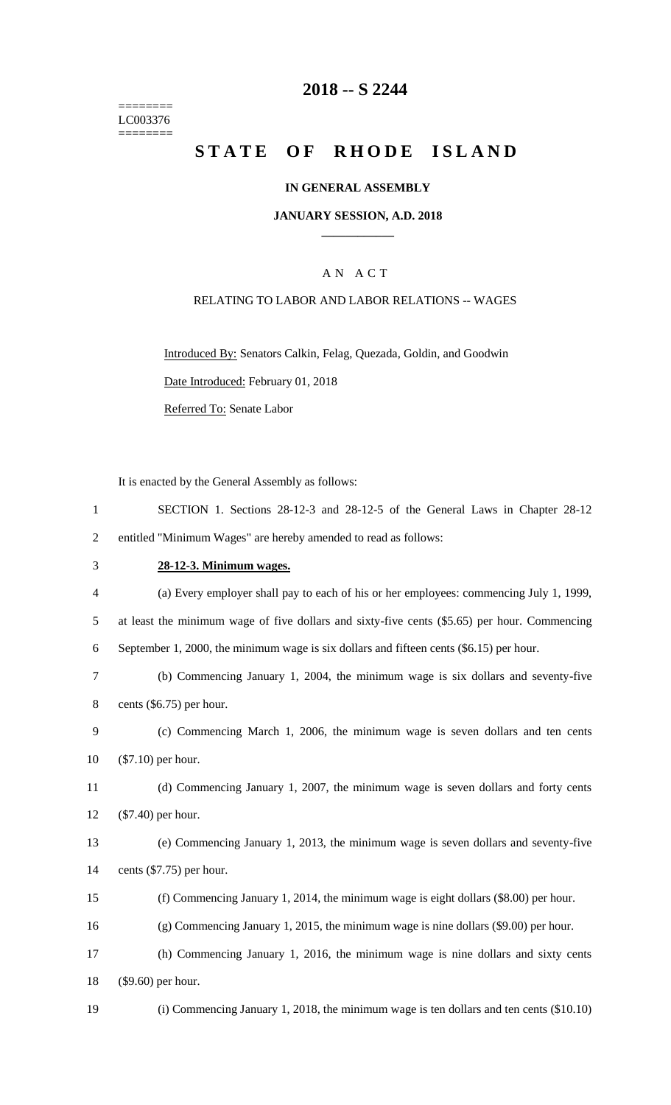======== LC003376 ========

# **-- S 2244**

# STATE OF RHODE ISLAND

### **IN GENERAL ASSEMBLY**

### **JANUARY SESSION, A.D. 2018 \_\_\_\_\_\_\_\_\_\_\_\_**

### A N A C T

### RELATING TO LABOR AND LABOR RELATIONS -- WAGES

Introduced By: Senators Calkin, Felag, Quezada, Goldin, and Goodwin Date Introduced: February 01, 2018

Referred To: Senate Labor

It is enacted by the General Assembly as follows:

| SECTION 1. Sections 28-12-3 and 28-12-5 of the General Laws in Chapter 28-12 |
|------------------------------------------------------------------------------|
| entitled "Minimum Wages" are hereby amended to read as follows:              |

# **28-12-3. Minimum wages.**

| $\overline{4}$ | (a) Every employer shall pay to each of his or her employees: commencing July 1, 1999,       |
|----------------|----------------------------------------------------------------------------------------------|
| 5              | at least the minimum wage of five dollars and sixty-five cents (\$5.65) per hour. Commencing |
| 6              | September 1, 2000, the minimum wage is six dollars and fifteen cents (\$6.15) per hour.      |
| 7              | (b) Commencing January 1, 2004, the minimum wage is six dollars and seventy-five             |
| 8              | cents $(\$6.75)$ per hour.                                                                   |
| 9              | (c) Commencing March 1, 2006, the minimum wage is seven dollars and ten cents                |
| 10             | $(\$7.10)$ per hour.                                                                         |
| 11             | (d) Commencing January 1, 2007, the minimum wage is seven dollars and forty cents            |
| 12             | $(\$7.40)$ per hour.                                                                         |
| 13             | (e) Commencing January 1, 2013, the minimum wage is seven dollars and seventy-five           |
| 14             | cents $(\$7.75)$ per hour.                                                                   |
| 15             | (f) Commencing January 1, 2014, the minimum wage is eight dollars (\$8.00) per hour.         |
| 16             | $(g)$ Commencing January 1, 2015, the minimum wage is nine dollars $(\$9.00)$ per hour.      |
| 17             | (h) Commencing January 1, 2016, the minimum wage is nine dollars and sixty cents             |
| 18             | $(\$9.60)$ per hour.                                                                         |
| 19             | (i) Commencing January 1, 2018, the minimum wage is ten dollars and ten cents $(\$10.10)$    |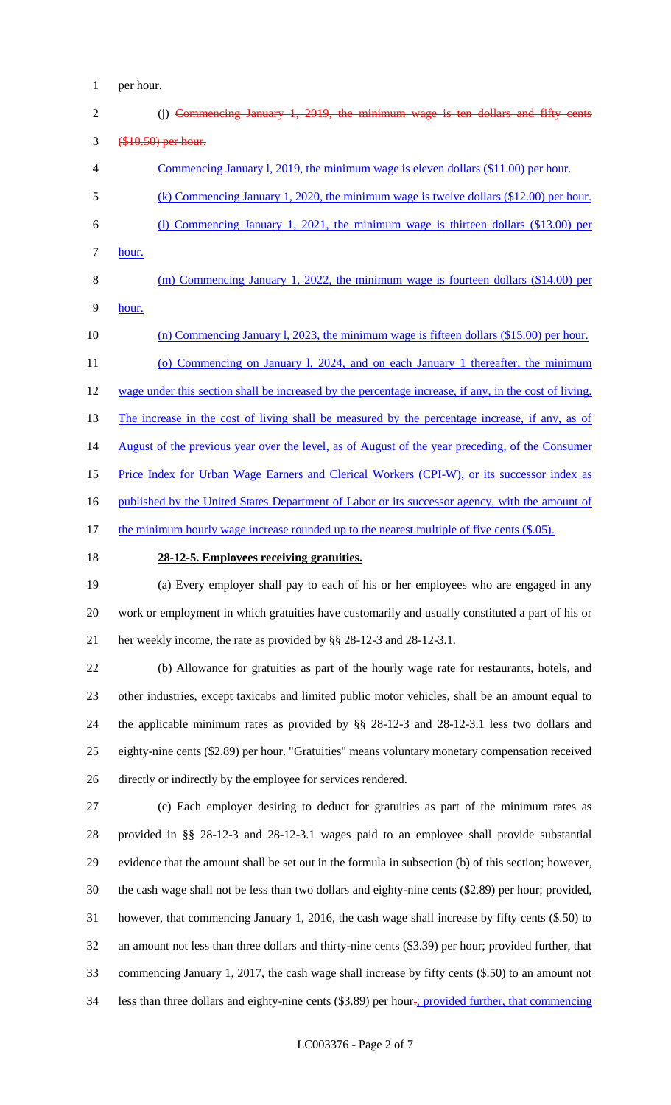per hour.

| $\overline{2}$ | (j) Commencing January 1, 2019, the minimum wage is ten dollars and fifty cents                       |
|----------------|-------------------------------------------------------------------------------------------------------|
| 3              | (\$10.50) per hour.                                                                                   |
| 4              | Commencing January 1, 2019, the minimum wage is eleven dollars (\$11.00) per hour.                    |
| 5              | (k) Commencing January 1, 2020, the minimum wage is twelve dollars $(\$12.00)$ per hour.              |
| 6              | (1) Commencing January 1, 2021, the minimum wage is thirteen dollars (\$13.00) per                    |
| 7              | hour.                                                                                                 |
| 8              | (m) Commencing January 1, 2022, the minimum wage is fourteen dollars $(\$14.00)$ per                  |
| 9              | hour.                                                                                                 |
| 10             | (n) Commencing January 1, 2023, the minimum wage is fifteen dollars $(\$15.00)$ per hour.             |
| 11             | (o) Commencing on January 1, 2024, and on each January 1 thereafter, the minimum                      |
| 12             | wage under this section shall be increased by the percentage increase, if any, in the cost of living. |
| 13             | The increase in the cost of living shall be measured by the percentage increase, if any, as of        |
| 14             | August of the previous year over the level, as of August of the year preceding, of the Consumer       |
| 15             | Price Index for Urban Wage Earners and Clerical Workers (CPI-W), or its successor index as            |
| 16             | published by the United States Department of Labor or its successor agency, with the amount of        |
| 17             | the minimum hourly wage increase rounded up to the nearest multiple of five cents (\$.05).            |
| 18             | 28-12-5. Employees receiving gratuities.                                                              |

 (a) Every employer shall pay to each of his or her employees who are engaged in any work or employment in which gratuities have customarily and usually constituted a part of his or her weekly income, the rate as provided by §§ 28-12-3 and 28-12-3.1.

 (b) Allowance for gratuities as part of the hourly wage rate for restaurants, hotels, and other industries, except taxicabs and limited public motor vehicles, shall be an amount equal to the applicable minimum rates as provided by §§ 28-12-3 and 28-12-3.1 less two dollars and eighty-nine cents (\$2.89) per hour. "Gratuities" means voluntary monetary compensation received directly or indirectly by the employee for services rendered.

 (c) Each employer desiring to deduct for gratuities as part of the minimum rates as provided in §§ 28-12-3 and 28-12-3.1 wages paid to an employee shall provide substantial evidence that the amount shall be set out in the formula in subsection (b) of this section; however, the cash wage shall not be less than two dollars and eighty-nine cents (\$2.89) per hour; provided, however, that commencing January 1, 2016, the cash wage shall increase by fifty cents (\$.50) to an amount not less than three dollars and thirty-nine cents (\$3.39) per hour; provided further, that commencing January 1, 2017, the cash wage shall increase by fifty cents (\$.50) to an amount not 34 less than three dollars and eighty-nine cents (\$3.89) per hour.; provided further, that commencing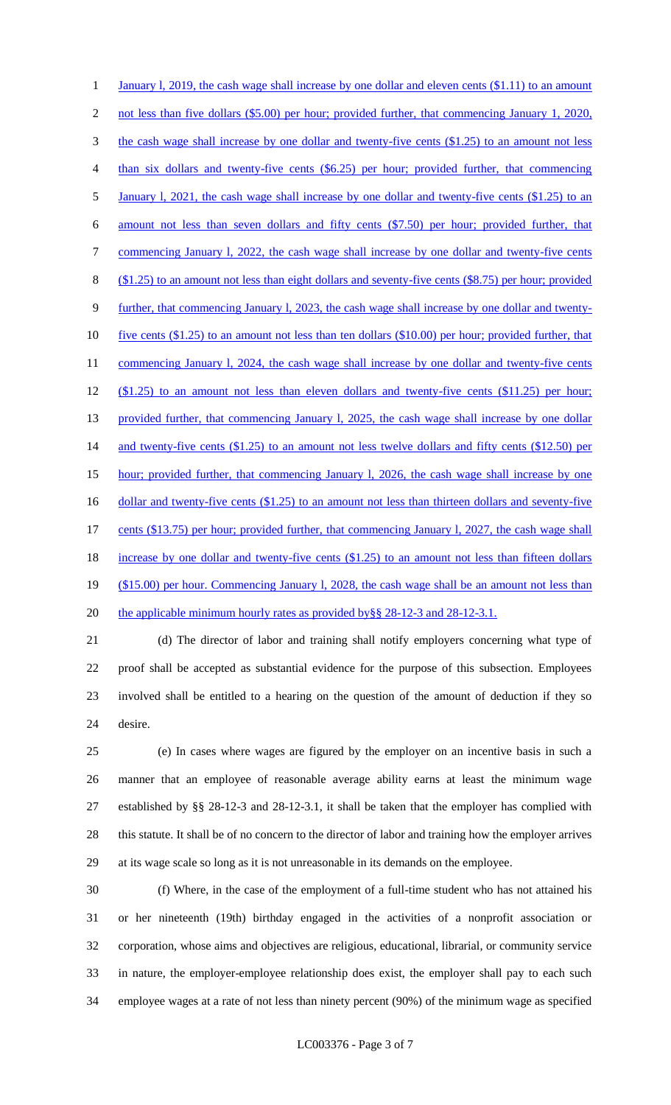1 January 1, 2019, the cash wage shall increase by one dollar and eleven cents (\$1.11) to an amount 2 not less than five dollars (\$5.00) per hour; provided further, that commencing January 1, 2020, 3 the cash wage shall increase by one dollar and twenty-five cents (\$1.25) to an amount not less than six dollars and twenty-five cents (\$6.25) per hour; provided further, that commencing 5 January 1, 2021, the cash wage shall increase by one dollar and twenty-five cents (\$1.25) to an amount not less than seven dollars and fifty cents (\$7.50) per hour; provided further, that 7 commencing January 1, 2022, the cash wage shall increase by one dollar and twenty-five cents (\$1.25) to an amount not less than eight dollars and seventy-five cents (\$8.75) per hour; provided further, that commencing January l, 2023, the cash wage shall increase by one dollar and twenty- five cents (\$1.25) to an amount not less than ten dollars (\$10.00) per hour; provided further, that 11 commencing January 1, 2024, the cash wage shall increase by one dollar and twenty-five cents (\$1.25) to an amount not less than eleven dollars and twenty-five cents (\$11.25) per hour; 13 provided further, that commencing January 1, 2025, the cash wage shall increase by one dollar 14 and twenty-five cents (\$1.25) to an amount not less twelve dollars and fifty cents (\$12.50) per hour; provided further, that commencing January l, 2026, the cash wage shall increase by one 16 dollar and twenty-five cents (\$1.25) to an amount not less than thirteen dollars and seventy-five cents (\$13.75) per hour; provided further, that commencing January l, 2027, the cash wage shall 18 increase by one dollar and twenty-five cents (\$1.25) to an amount not less than fifteen dollars 19 (\$15.00) per hour. Commencing January 1, 2028, the cash wage shall be an amount not less than 20 the applicable minimum hourly rates as provided by §§ 28-12-3 and 28-12-3.1.

 (d) The director of labor and training shall notify employers concerning what type of proof shall be accepted as substantial evidence for the purpose of this subsection. Employees involved shall be entitled to a hearing on the question of the amount of deduction if they so desire.

 (e) In cases where wages are figured by the employer on an incentive basis in such a manner that an employee of reasonable average ability earns at least the minimum wage established by §§ 28-12-3 and 28-12-3.1, it shall be taken that the employer has complied with this statute. It shall be of no concern to the director of labor and training how the employer arrives at its wage scale so long as it is not unreasonable in its demands on the employee.

 (f) Where, in the case of the employment of a full-time student who has not attained his or her nineteenth (19th) birthday engaged in the activities of a nonprofit association or corporation, whose aims and objectives are religious, educational, librarial, or community service in nature, the employer-employee relationship does exist, the employer shall pay to each such employee wages at a rate of not less than ninety percent (90%) of the minimum wage as specified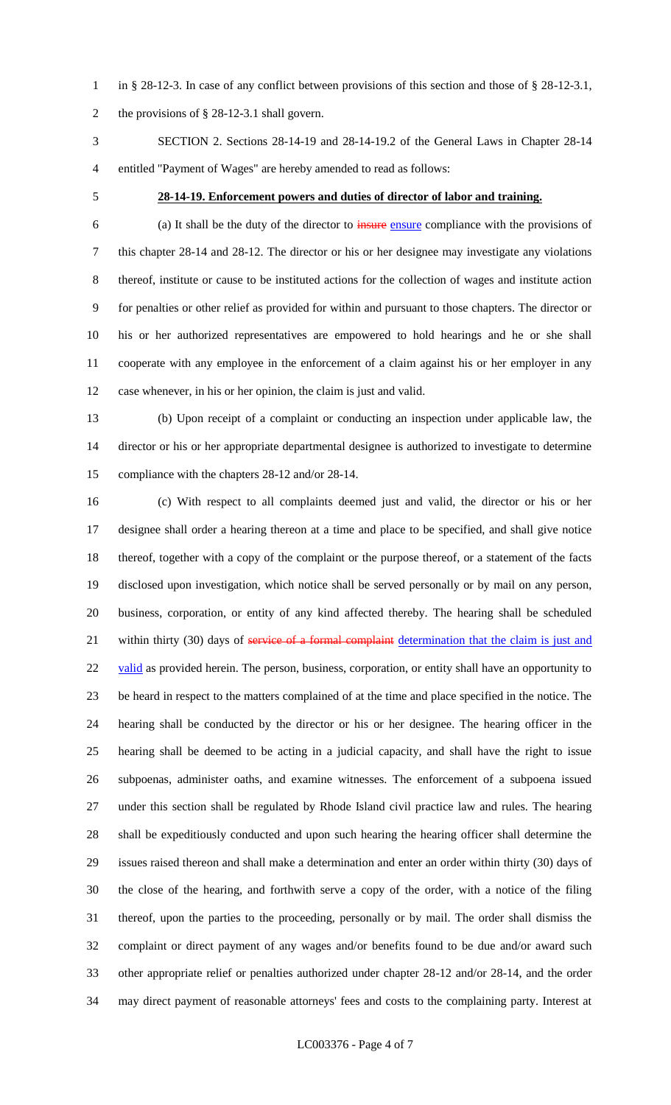in § 28-12-3. In case of any conflict between provisions of this section and those of § 28-12-3.1, the provisions of § 28-12-3.1 shall govern.

 SECTION 2. Sections 28-14-19 and 28-14-19.2 of the General Laws in Chapter 28-14 entitled "Payment of Wages" are hereby amended to read as follows:

### **28-14-19. Enforcement powers and duties of director of labor and training.**

 (a) It shall be the duty of the director to insure ensure compliance with the provisions of this chapter 28-14 and 28-12. The director or his or her designee may investigate any violations thereof, institute or cause to be instituted actions for the collection of wages and institute action for penalties or other relief as provided for within and pursuant to those chapters. The director or his or her authorized representatives are empowered to hold hearings and he or she shall cooperate with any employee in the enforcement of a claim against his or her employer in any case whenever, in his or her opinion, the claim is just and valid.

 (b) Upon receipt of a complaint or conducting an inspection under applicable law, the director or his or her appropriate departmental designee is authorized to investigate to determine compliance with the chapters 28-12 and/or 28-14.

 (c) With respect to all complaints deemed just and valid, the director or his or her designee shall order a hearing thereon at a time and place to be specified, and shall give notice thereof, together with a copy of the complaint or the purpose thereof, or a statement of the facts disclosed upon investigation, which notice shall be served personally or by mail on any person, business, corporation, or entity of any kind affected thereby. The hearing shall be scheduled 21 within thirty (30) days of service of a formal complaint determination that the claim is just and 22 valid as provided herein. The person, business, corporation, or entity shall have an opportunity to be heard in respect to the matters complained of at the time and place specified in the notice. The hearing shall be conducted by the director or his or her designee. The hearing officer in the hearing shall be deemed to be acting in a judicial capacity, and shall have the right to issue subpoenas, administer oaths, and examine witnesses. The enforcement of a subpoena issued under this section shall be regulated by Rhode Island civil practice law and rules. The hearing shall be expeditiously conducted and upon such hearing the hearing officer shall determine the issues raised thereon and shall make a determination and enter an order within thirty (30) days of the close of the hearing, and forthwith serve a copy of the order, with a notice of the filing thereof, upon the parties to the proceeding, personally or by mail. The order shall dismiss the complaint or direct payment of any wages and/or benefits found to be due and/or award such other appropriate relief or penalties authorized under chapter 28-12 and/or 28-14, and the order may direct payment of reasonable attorneys' fees and costs to the complaining party. Interest at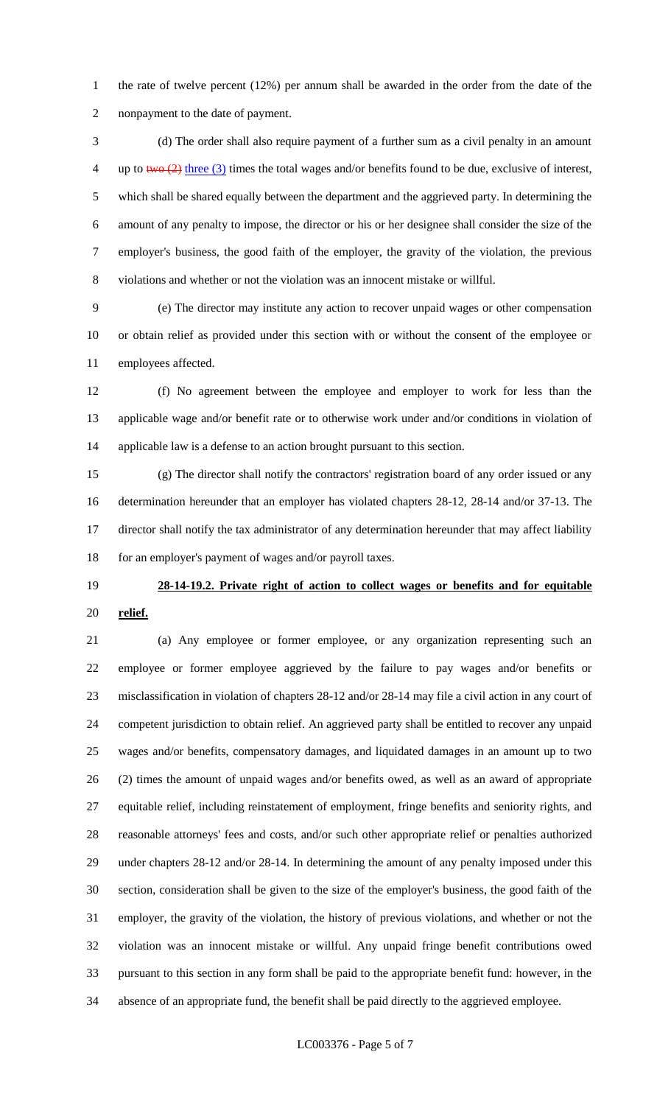the rate of twelve percent (12%) per annum shall be awarded in the order from the date of the nonpayment to the date of payment.

 (d) The order shall also require payment of a further sum as a civil penalty in an amount 4 up to two  $(2)$  three (3) times the total wages and/or benefits found to be due, exclusive of interest, which shall be shared equally between the department and the aggrieved party. In determining the amount of any penalty to impose, the director or his or her designee shall consider the size of the employer's business, the good faith of the employer, the gravity of the violation, the previous violations and whether or not the violation was an innocent mistake or willful.

 (e) The director may institute any action to recover unpaid wages or other compensation or obtain relief as provided under this section with or without the consent of the employee or employees affected.

 (f) No agreement between the employee and employer to work for less than the applicable wage and/or benefit rate or to otherwise work under and/or conditions in violation of applicable law is a defense to an action brought pursuant to this section.

 (g) The director shall notify the contractors' registration board of any order issued or any determination hereunder that an employer has violated chapters 28-12, 28-14 and/or 37-13. The director shall notify the tax administrator of any determination hereunder that may affect liability 18 for an employer's payment of wages and/or payroll taxes.

# **28-14-19.2. Private right of action to collect wages or benefits and for equitable relief.**

 (a) Any employee or former employee, or any organization representing such an employee or former employee aggrieved by the failure to pay wages and/or benefits or misclassification in violation of chapters 28-12 and/or 28-14 may file a civil action in any court of competent jurisdiction to obtain relief. An aggrieved party shall be entitled to recover any unpaid wages and/or benefits, compensatory damages, and liquidated damages in an amount up to two (2) times the amount of unpaid wages and/or benefits owed, as well as an award of appropriate equitable relief, including reinstatement of employment, fringe benefits and seniority rights, and reasonable attorneys' fees and costs, and/or such other appropriate relief or penalties authorized under chapters 28-12 and/or 28-14. In determining the amount of any penalty imposed under this section, consideration shall be given to the size of the employer's business, the good faith of the employer, the gravity of the violation, the history of previous violations, and whether or not the violation was an innocent mistake or willful. Any unpaid fringe benefit contributions owed pursuant to this section in any form shall be paid to the appropriate benefit fund: however, in the absence of an appropriate fund, the benefit shall be paid directly to the aggrieved employee.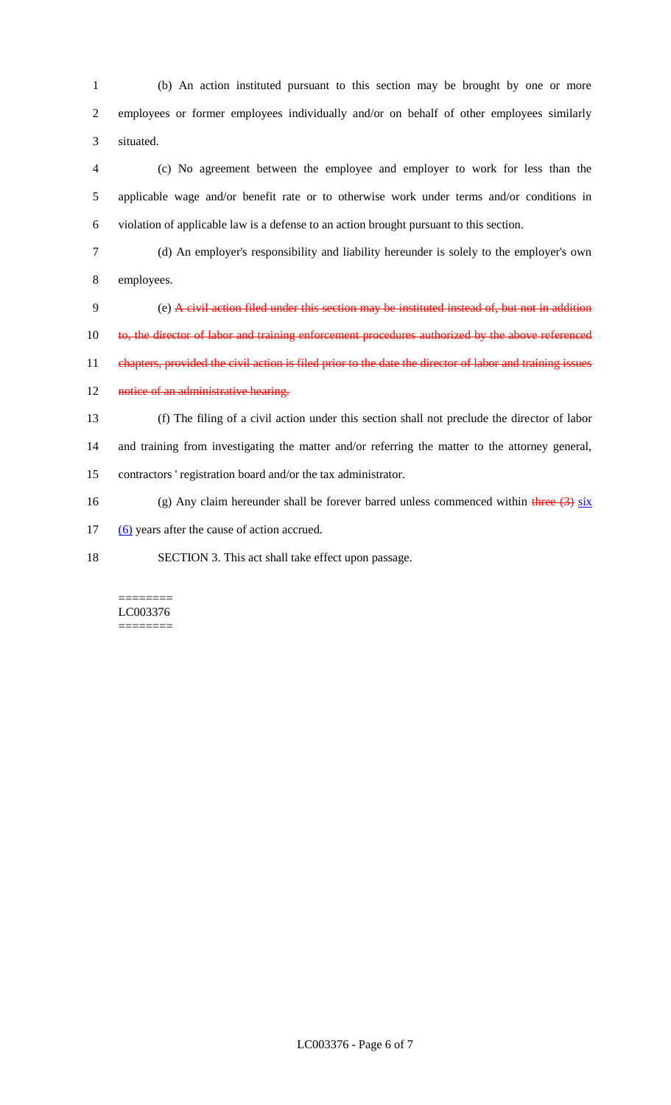1 (b) An action instituted pursuant to this section may be brought by one or more 2 employees or former employees individually and/or on behalf of other employees similarly 3 situated.

4 (c) No agreement between the employee and employer to work for less than the 5 applicable wage and/or benefit rate or to otherwise work under terms and/or conditions in 6 violation of applicable law is a defense to an action brought pursuant to this section.

7 (d) An employer's responsibility and liability hereunder is solely to the employer's own 8 employees.

9 (e) A civil action filed under this section may be instituted instead of, but not in addition 10 to, the director of labor and training enforcement procedures authorized by the above referenced 11 chapters, provided the civil action is filed prior to the date the director of labor and training issues

12 notice of an administrative hearing.

13 (f) The filing of a civil action under this section shall not preclude the director of labor 14 and training from investigating the matter and/or referring the matter to the attorney general, 15 contractors ' registration board and/or the tax administrator.

16 (g) Any claim hereunder shall be forever barred unless commenced within three  $(3)$  six

17 (6) years after the cause of action accrued.

18 SECTION 3. This act shall take effect upon passage.

### ======== LC003376 ========